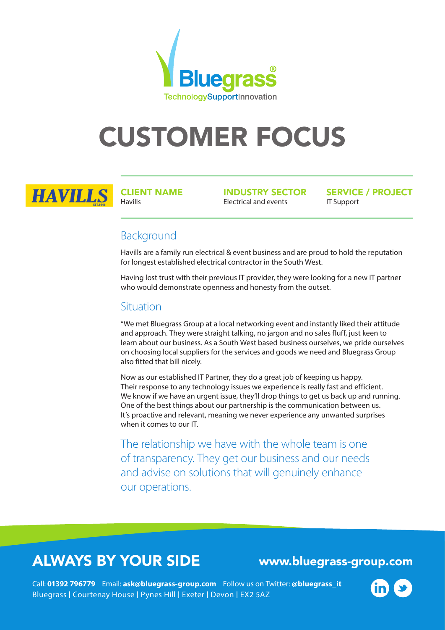

# CUSTOMER FOCUS



CLIENT NAME Havills

INDUSTRY SECTOR Electrical and events

SERVICE / PROJECT IT Support

### Background

Havills are a family run electrical & event business and are proud to hold the reputation for longest established electrical contractor in the South West.

Having lost trust with their previous IT provider, they were looking for a new IT partner who would demonstrate openness and honesty from the outset.

#### Situation

"We met Bluegrass Group at a local networking event and instantly liked their attitude and approach. They were straight talking, no jargon and no sales fluff, just keen to learn about our business. As a South West based business ourselves, we pride ourselves on choosing local suppliers for the services and goods we need and Bluegrass Group also fitted that bill nicely.

Now as our established IT Partner, they do a great job of keeping us happy. Their response to any technology issues we experience is really fast and efficient. We know if we have an urgent issue, they'll drop things to get us back up and running. One of the best things about our partnership is the communication between us. It's proactive and relevant, meaning we never experience any unwanted surprises when it comes to our IT.

The relationship we have with the whole team is one of transparency. They get our business and our needs and advise on solutions that will genuinely enhance our operations.

## ALWAYS BY YOUR SIDE www.bluegrass-group.com

Bluegrass I Courtenay House I Pynes Hill I Exeter I Devon I EX2 5AZ Call: **01392 796779** Email: **ask@bluegrass-group.com** Follow us on Twitter: **@bluegrass\_it**